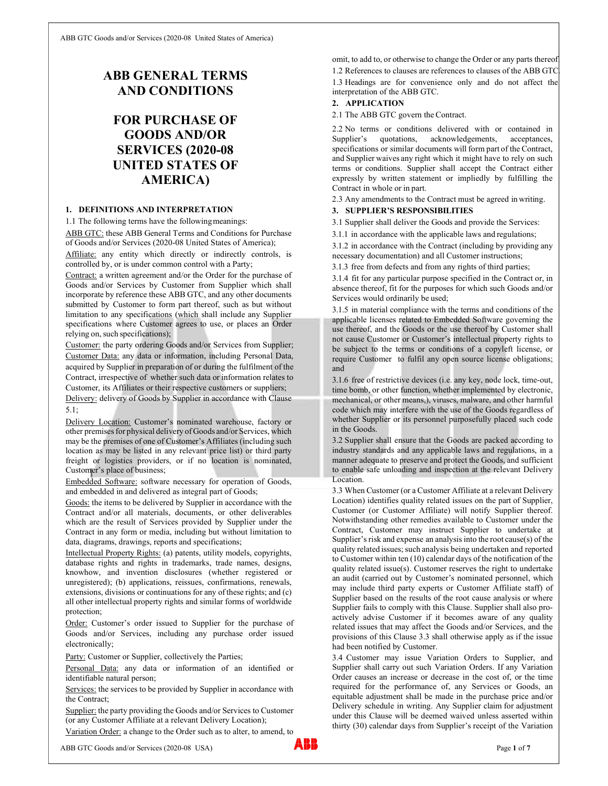# ABB GENERAL TERMS AND CONDITIONS

# FOR PURCHASE OF GOODS AND/OR SERVICES (2020-08 UNITED STATES OF AMERICA)

# 1. DEFINITIONS AND INTERPRETATION

1.1 The following terms have the following meanings:

ABB GTC: these ABB General Terms and Conditions for Purchase of Goods and/or Services (2020-08 United States of America);

Affiliate: any entity which directly or indirectly controls, is controlled by, or is under common control with a Party;

Contract: a written agreement and/or the Order for the purchase of Goods and/or Services by Customer from Supplier which shall incorporate by reference these ABB GTC, and any other documents submitted by Customer to form part thereof, such as but without limitation to any specifications (which shall include any Supplier specifications where Customer agrees to use, or places an Order relying on, such specifications);

Customer: the party ordering Goods and/or Services from Supplier; Customer Data: any data or information, including Personal Data, acquired by Supplier in preparation of or during the fulfilment of the Contract, irrespective of whether such data or information relates to Customer, its Affiliates or their respective customers or suppliers; Delivery: delivery of Goods by Supplier in accordance with Clause 5.1;

Delivery Location: Customer's nominated warehouse, factory or other premises for physical delivery of Goods and/or Services, which may be the premises of one of Customer's Affiliates (including such location as may be listed in any relevant price list) or third party freight or logistics providers, or if no location is nominated, Customer's place of business;

Embedded Software: software necessary for operation of Goods, and embedded in and delivered as integral part of Goods;

Goods: the items to be delivered by Supplier in accordance with the Contract and/or all materials, documents, or other deliverables which are the result of Services provided by Supplier under the Contract in any form or media, including but without limitation to data, diagrams, drawings, reports and specifications;

Intellectual Property Rights: (a) patents, utility models, copyrights, database rights and rights in trademarks, trade names, designs, knowhow, and invention disclosures (whether registered or unregistered); (b) applications, reissues, confirmations, renewals, extensions, divisions or continuations for any of these rights; and (c) all other intellectual property rights and similar forms of worldwide protection;

Order: Customer's order issued to Supplier for the purchase of Goods and/or Services, including any purchase order issued electronically;

Party: Customer or Supplier, collectively the Parties;

Personal Data: any data or information of an identified or identifiable natural person;

Services: the services to be provided by Supplier in accordance with the Contract;

Supplier: the party providing the Goods and/or Services to Customer (or any Customer Affiliate at a relevant Delivery Location);

Variation Order: a change to the Order such as to alter, to amend, to

ABB GTC Goods and/or Services (2020-08 USA) **ABB Page 1 of 7** 

omit, to add to, or otherwise to change the Order or any parts thereof.

1.2 References to clauses are references to clauses of the ABB GTC. 1.3 Headings are for convenience only and do not affect the interpretation of the ABB GTC.

## 2. APPLICATION

2.1 The ABB GTC govern the Contract.

2.2 No terms or conditions delivered with or contained in Supplier's quotations, acknowledgements, acceptances, specifications or similar documents will form part of the Contract, and Supplier waives any right which it might have to rely on such terms or conditions. Supplier shall accept the Contract either expressly by written statement or impliedly by fulfilling the Contract in whole or in part.

2.3 Any amendments to the Contract must be agreed in writing.

# 3. SUPPLIER'S RESPONSIBILITIES

3.1 Supplier shall deliver the Goods and provide the Services:

3.1.1 in accordance with the applicable laws and regulations;

3.1.2 in accordance with the Contract (including by providing any necessary documentation) and all Customer instructions;

3.1.3 free from defects and from any rights of third parties;

3.1.4 fit for any particular purpose specified in the Contract or, in absence thereof, fit for the purposes for which such Goods and/or Services would ordinarily be used;

3.1.5 in material compliance with the terms and conditions of the applicable licenses related to Embedded Software governing the use thereof, and the Goods or the use thereof by Customer shall not cause Customer or Customer's intellectual property rights to be subject to the terms or conditions of a copyleft license, or require Customer to fulfil any open source license obligations; and

3.1.6 free of restrictive devices (i.e. any key, node lock, time-out, time bomb, or other function, whether implemented by electronic, mechanical, or other means,), viruses, malware, and other harmful code which may interfere with the use of the Goods regardless of whether Supplier or its personnel purposefully placed such code in the Goods.

3.2 Supplier shall ensure that the Goods are packed according to industry standards and any applicable laws and regulations, in a manner adequate to preserve and protect the Goods, and sufficient to enable safe unloading and inspection at the relevant Delivery Location.

3.3 When Customer (or a Customer Affiliate at a relevant Delivery Location) identifies quality related issues on the part of Supplier, Customer (or Customer Affiliate) will notify Supplier thereof. Notwithstanding other remedies available to Customer under the Contract, Customer may instruct Supplier to undertake at Supplier's risk and expense an analysis into the root cause(s) of the quality related issues; such analysis being undertaken and reported to Customer within ten (10) calendar days of the notification of the quality related issue(s). Customer reserves the right to undertake an audit (carried out by Customer's nominated personnel, which may include third party experts or Customer Affiliate staff) of Supplier based on the results of the root cause analysis or where Supplier fails to comply with this Clause. Supplier shall also proactively advise Customer if it becomes aware of any quality related issues that may affect the Goods and/or Services, and the provisions of this Clause 3.3 shall otherwise apply as if the issue had been notified by Customer.

3.4 Customer may issue Variation Orders to Supplier, and Supplier shall carry out such Variation Orders. If any Variation Order causes an increase or decrease in the cost of, or the time required for the performance of, any Services or Goods, an equitable adjustment shall be made in the purchase price and/or Delivery schedule in writing. Any Supplier claim for adjustment under this Clause will be deemed waived unless asserted within thirty (30) calendar days from Supplier's receipt of the Variation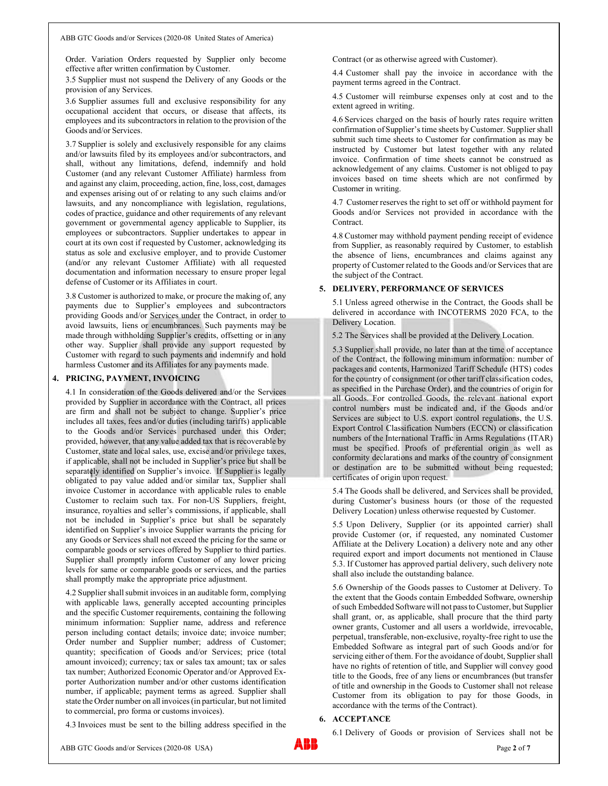Order. Variation Orders requested by Supplier only become effective after written confirmation by Customer.

3.5 Supplier must not suspend the Delivery of any Goods or the provision of any Services.

3.6 Supplier assumes full and exclusive responsibility for any occupational accident that occurs, or disease that affects, its employees and its subcontractors in relation to the provision of the Goods and/or Services.

3.7 Supplier is solely and exclusively responsible for any claims and/or lawsuits filed by its employees and/or subcontractors, and shall, without any limitations, defend, indemnify and hold Customer (and any relevant Customer Affiliate) harmless from and against any claim, proceeding, action, fine, loss, cost, damages and expenses arising out of or relating to any such claims and/or lawsuits, and any noncompliance with legislation, regulations, codes of practice, guidance and other requirements of any relevant government or governmental agency applicable to Supplier, its employees or subcontractors. Supplier undertakes to appear in court at its own cost if requested by Customer, acknowledging its status as sole and exclusive employer, and to provide Customer (and/or any relevant Customer Affiliate) with all requested documentation and information necessary to ensure proper legal defense of Customer or its Affiliates in court.

3.8 Customer is authorized to make, or procure the making of, any payments due to Supplier's employees and subcontractors providing Goods and/or Services under the Contract, in order to avoid lawsuits, liens or encumbrances. Such payments may be made through withholding Supplier's credits, offsetting or in any other way. Supplier shall provide any support requested by Customer with regard to such payments and indemnify and hold harmless Customer and its Affiliates for any payments made.

## 4. PRICING, PAYMENT, INVOICING

4.1 In consideration of the Goods delivered and/or the Services provided by Supplier in accordance with the Contract, all prices are firm and shall not be subject to change. Supplier's price includes all taxes, fees and/or duties (including tariffs) applicable to the Goods and/or Services purchased under this Order; provided, however, that any value added tax that is recoverable by Customer, state and local sales, use, excise and/or privilege taxes, if applicable, shall not be included in Supplier's price but shall be separately identified on Supplier's invoice. If Supplier is legally obligated to pay value added and/or similar tax, Supplier shall invoice Customer in accordance with applicable rules to enable Customer to reclaim such tax. For non-US Suppliers, freight, insurance, royalties and seller's commissions, if applicable, shall not be included in Supplier's price but shall be separately identified on Supplier's invoice Supplier warrants the pricing for any Goods or Services shall not exceed the pricing for the same or comparable goods or services offered by Supplier to third parties. Supplier shall promptly inform Customer of any lower pricing levels for same or comparable goods or services, and the parties shall promptly make the appropriate price adjustment.

4.2 Supplier shall submit invoices in an auditable form, complying with applicable laws, generally accepted accounting principles and the specific Customer requirements, containing the following minimum information: Supplier name, address and reference person including contact details; invoice date; invoice number; Order number and Supplier number; address of Customer; quantity; specification of Goods and/or Services; price (total amount invoiced); currency; tax or sales tax amount; tax or sales tax number; Authorized Economic Operator and/or Approved Exporter Authorization number and/or other customs identification number, if applicable; payment terms as agreed. Supplier shall state the Order number on all invoices (in particular, but not limited to commercial, pro forma or customs invoices).

4.3 Invoices must be sent to the billing address specified in the

Contract (or as otherwise agreed with Customer).

4.4 Customer shall pay the invoice in accordance with the payment terms agreed in the Contract.

4.5 Customer will reimburse expenses only at cost and to the extent agreed in writing.

4.6 Services charged on the basis of hourly rates require written confirmation of Supplier's time sheets by Customer. Supplier shall submit such time sheets to Customer for confirmation as may be instructed by Customer but latest together with any related invoice. Confirmation of time sheets cannot be construed as acknowledgement of any claims. Customer is not obliged to pay invoices based on time sheets which are not confirmed by Customer in writing.

4.7 Customer reserves the right to set off or withhold payment for Goods and/or Services not provided in accordance with the Contract.

4.8 Customer may withhold payment pending receipt of evidence from Supplier, as reasonably required by Customer, to establish the absence of liens, encumbrances and claims against any property of Customer related to the Goods and/or Services that are the subject of the Contract.

#### 5. DELIVERY, PERFORMANCE OF SERVICES

5.1 Unless agreed otherwise in the Contract, the Goods shall be delivered in accordance with INCOTERMS 2020 FCA, to the Delivery Location.

5.2 The Services shall be provided at the Delivery Location.

5.3 Supplier shall provide, no later than at the time of acceptance of the Contract, the following minimum information: number of packages and contents, Harmonized Tariff Schedule (HTS) codes for the country of consignment (or other tariff classification codes, as specified in the Purchase Order), and the countries of origin for all Goods. For controlled Goods, the relevant national export control numbers must be indicated and, if the Goods and/or Services are subject to U.S. export control regulations, the U.S. Export Control Classification Numbers (ECCN) or classification numbers of the International Traffic in Arms Regulations (ITAR) must be specified. Proofs of preferential origin as well as conformity declarations and marks of the country of consignment or destination are to be submitted without being requested; certificates of origin upon request.

5.4 The Goods shall be delivered, and Services shall be provided, during Customer's business hours (or those of the requested Delivery Location) unless otherwise requested by Customer.

5.5 Upon Delivery, Supplier (or its appointed carrier) shall provide Customer (or, if requested, any nominated Customer Affiliate at the Delivery Location) a delivery note and any other required export and import documents not mentioned in Clause 5.3. If Customer has approved partial delivery, such delivery note shall also include the outstanding balance.

5.6 Ownership of the Goods passes to Customer at Delivery. To the extent that the Goods contain Embedded Software, ownership of such Embedded Software will not pass to Customer, but Supplier shall grant, or, as applicable, shall procure that the third party owner grants, Customer and all users a worldwide, irrevocable, perpetual, transferable, non-exclusive, royalty-free right to use the Embedded Software as integral part of such Goods and/or for servicing either of them. For the avoidance of doubt, Supplier shall have no rights of retention of title, and Supplier will convey good title to the Goods, free of any liens or encumbrances (but transfer of title and ownership in the Goods to Customer shall not release Customer from its obligation to pay for those Goods, in accordance with the terms of the Contract).

## 6. ACCEPTANCE

6.1 Delivery of Goods or provision of Services shall not be

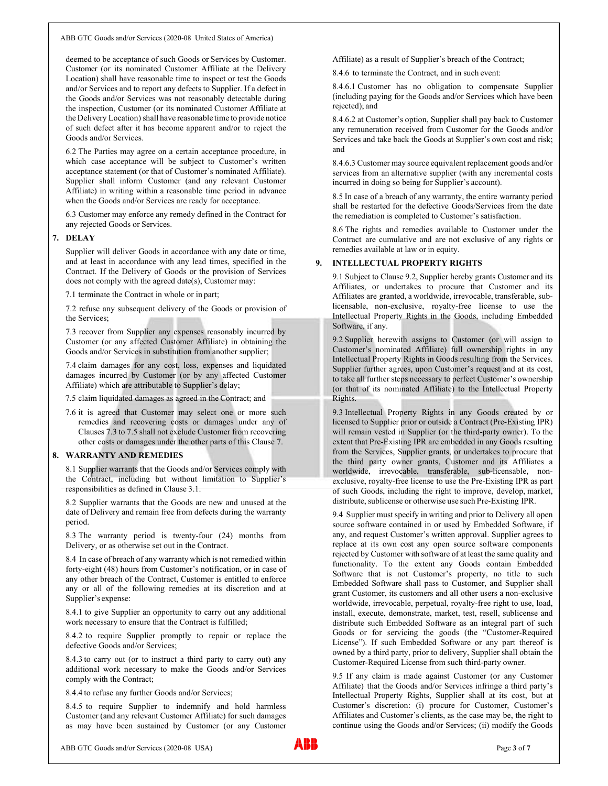deemed to be acceptance of such Goods or Services by Customer. Customer (or its nominated Customer Affiliate at the Delivery Location) shall have reasonable time to inspect or test the Goods and/or Services and to report any defects to Supplier. If a defect in the Goods and/or Services was not reasonably detectable during the inspection, Customer (or its nominated Customer Affiliate at the Delivery Location) shall have reasonable time to provide notice of such defect after it has become apparent and/or to reject the Goods and/or Services.

6.2 The Parties may agree on a certain acceptance procedure, in which case acceptance will be subject to Customer's written acceptance statement (or that of Customer's nominated Affiliate). Supplier shall inform Customer (and any relevant Customer Affiliate) in writing within a reasonable time period in advance when the Goods and/or Services are ready for acceptance.

6.3 Customer may enforce any remedy defined in the Contract for any rejected Goods or Services.

### 7. DELAY

Supplier will deliver Goods in accordance with any date or time, and at least in accordance with any lead times, specified in the Contract. If the Delivery of Goods or the provision of Services does not comply with the agreed date(s), Customer may:

7.1 terminate the Contract in whole or in part;

7.2 refuse any subsequent delivery of the Goods or provision of the Services;

7.3 recover from Supplier any expenses reasonably incurred by Customer (or any affected Customer Affiliate) in obtaining the Goods and/or Services in substitution from another supplier;

7.4 claim damages for any cost, loss, expenses and liquidated damages incurred by Customer (or by any affected Customer Affiliate) which are attributable to Supplier's delay;

7.5 claim liquidated damages as agreed in the Contract; and

7.6 it is agreed that Customer may select one or more such remedies and recovering costs or damages under any of Clauses 7.3 to 7.5 shall not exclude Customer from recovering other costs or damages under the other parts of this Clause 7.

#### 8. WARRANTY AND REMEDIES

8.1 Supplier warrants that the Goods and/or Services comply with the Contract, including but without limitation to Supplier's responsibilities as defined in Clause 3.1.

8.2 Supplier warrants that the Goods are new and unused at the date of Delivery and remain free from defects during the warranty period.

8.3 The warranty period is twenty-four (24) months from Delivery, or as otherwise set out in the Contract.

8.4 In case of breach of any warranty which is not remedied within forty-eight (48) hours from Customer's notification, or in case of any other breach of the Contract, Customer is entitled to enforce any or all of the following remedies at its discretion and at Supplier's expense:

8.4.1 to give Supplier an opportunity to carry out any additional work necessary to ensure that the Contract is fulfilled;

8.4.2 to require Supplier promptly to repair or replace the defective Goods and/or Services;

8.4.3 to carry out (or to instruct a third party to carry out) any additional work necessary to make the Goods and/or Services comply with the Contract;

8.4.4 to refuse any further Goods and/or Services;

8.4.5 to require Supplier to indemnify and hold harmless Customer (and any relevant Customer Affiliate) for such damages as may have been sustained by Customer (or any Customer Affiliate) as a result of Supplier's breach of the Contract;

8.4.6 to terminate the Contract, and in such event:

8.4.6.1 Customer has no obligation to compensate Supplier (including paying for the Goods and/or Services which have been rejected); and

8.4.6.2 at Customer's option, Supplier shall pay back to Customer any remuneration received from Customer for the Goods and/or Services and take back the Goods at Supplier's own cost and risk; and

8.4.6.3 Customer may source equivalent replacement goods and/or services from an alternative supplier (with any incremental costs incurred in doing so being for Supplier's account).

8.5 In case of a breach of any warranty, the entire warranty period shall be restarted for the defective Goods/Services from the date the remediation is completed to Customer's satisfaction.

8.6 The rights and remedies available to Customer under the Contract are cumulative and are not exclusive of any rights or remedies available at law or in equity.

# 9. INTELLECTUAL PROPERTY RIGHTS

9.1 Subject to Clause 9.2, Supplier hereby grants Customer and its Affiliates, or undertakes to procure that Customer and its Affiliates are granted, a worldwide, irrevocable, transferable, sublicensable, non-exclusive, royalty-free license to use the Intellectual Property Rights in the Goods, including Embedded Software, if any.

9.2 Supplier herewith assigns to Customer (or will assign to Customer's nominated Affiliate) full ownership rights in any Intellectual Property Rights in Goods resulting from the Services. Supplier further agrees, upon Customer's request and at its cost, to take all further steps necessary to perfect Customer's ownership (or that of its nominated Affiliate) to the Intellectual Property Rights.

9.3 Intellectual Property Rights in any Goods created by or licensed to Supplier prior or outside a Contract (Pre-Existing IPR) will remain vested in Supplier (or the third-party owner). To the extent that Pre-Existing IPR are embedded in any Goods resulting from the Services, Supplier grants, or undertakes to procure that the third party owner grants, Customer and its Affiliates a worldwide, irrevocable, transferable, sub-licensable, nonexclusive, royalty-free license to use the Pre-Existing IPR as part of such Goods, including the right to improve, develop, market, distribute, sublicense or otherwise use such Pre-Existing IPR.

9.4 Supplier must specify in writing and prior to Delivery all open source software contained in or used by Embedded Software, if any, and request Customer's written approval. Supplier agrees to replace at its own cost any open source software components rejected by Customer with software of at least the same quality and functionality. To the extent any Goods contain Embedded Software that is not Customer's property, no title to such Embedded Software shall pass to Customer, and Supplier shall grant Customer, its customers and all other users a non-exclusive worldwide, irrevocable, perpetual, royalty-free right to use, load, install, execute, demonstrate, market, test, resell, sublicense and distribute such Embedded Software as an integral part of such Goods or for servicing the goods (the "Customer-Required License"). If such Embedded Software or any part thereof is owned by a third party, prior to delivery, Supplier shall obtain the Customer-Required License from such third-party owner.

9.5 If any claim is made against Customer (or any Customer Affiliate) that the Goods and/or Services infringe a third party's Intellectual Property Rights, Supplier shall at its cost, but at Customer's discretion: (i) procure for Customer, Customer's Affiliates and Customer's clients, as the case may be, the right to continue using the Goods and/or Services; (ii) modify the Goods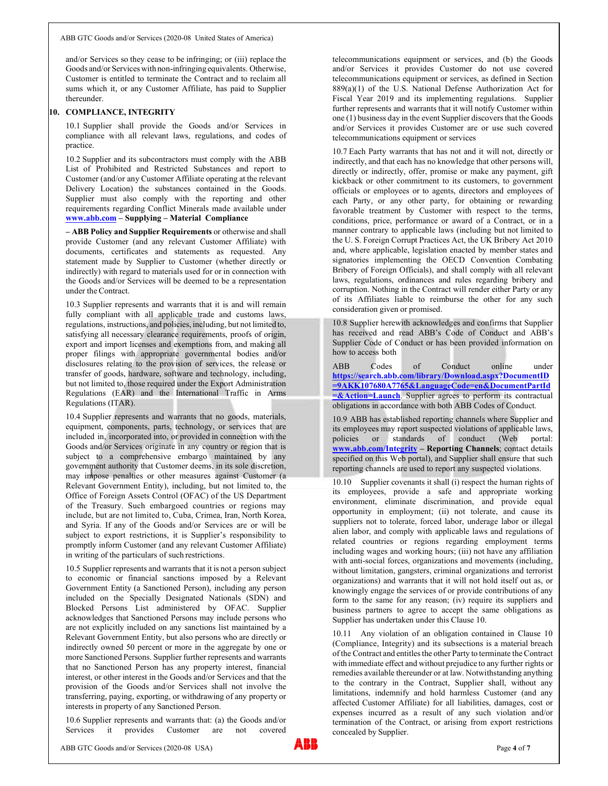and/or Services so they cease to be infringing; or (iii) replace the Goods and/or Services with non-infringing equivalents. Otherwise, Customer is entitled to terminate the Contract and to reclaim all sums which it, or any Customer Affiliate, has paid to Supplier thereunder.

#### 10. COMPLIANCE, INTEGRITY

10.1 Supplier shall provide the Goods and/or Services in compliance with all relevant laws, regulations, and codes of practice.

10.2 Supplier and its subcontractors must comply with the ABB List of Prohibited and Restricted Substances and report to Customer (and/or any Customer Affiliate operating at the relevant Delivery Location) the substances contained in the Goods. Supplier must also comply with the reporting and other requirements regarding Conflict Minerals made available under www.abb.com – Supplying – Material Compliance

– ABB Policy and Supplier Requirements or otherwise and shall provide Customer (and any relevant Customer Affiliate) with documents, certificates and statements as requested. Any statement made by Supplier to Customer (whether directly or indirectly) with regard to materials used for or in connection with the Goods and/or Services will be deemed to be a representation under the Contract.

10.3 Supplier represents and warrants that it is and will remain fully compliant with all applicable trade and customs laws, regulations, instructions, and policies, including, but not limited to, satisfying all necessary clearance requirements, proofs of origin, export and import licenses and exemptions from, and making all proper filings with appropriate governmental bodies and/or disclosures relating to the provision of services, the release or transfer of goods, hardware, software and technology, including, but not limited to, those required under the Export Administration Regulations (EAR) and the International Traffic in Arms Regulations (ITAR).

10.4 Supplier represents and warrants that no goods, materials, equipment, components, parts, technology, or services that are included in, incorporated into, or provided in connection with the Goods and/or Services originate in any country or region that is subject to a comprehensive embargo maintained by any government authority that Customer deems, in its sole discretion, may impose penalties or other measures against Customer (a Relevant Government Entity), including, but not limited to, the Office of Foreign Assets Control (OFAC) of the US Department of the Treasury. Such embargoed countries or regions may include, but are not limited to, Cuba, Crimea, Iran, North Korea, and Syria. If any of the Goods and/or Services are or will be subject to export restrictions, it is Supplier's responsibility to promptly inform Customer (and any relevant Customer Affiliate) in writing of the particulars of such restrictions.

10.5 Supplier represents and warrants that it is not a person subject to economic or financial sanctions imposed by a Relevant Government Entity (a Sanctioned Person), including any person included on the Specially Designated Nationals (SDN) and Blocked Persons List administered by OFAC. Supplier acknowledges that Sanctioned Persons may include persons who are not explicitly included on any sanctions list maintained by a Relevant Government Entity, but also persons who are directly or indirectly owned 50 percent or more in the aggregate by one or more Sanctioned Persons. Supplier further represents and warrants that no Sanctioned Person has any property interest, financial interest, or other interest in the Goods and/or Services and that the provision of the Goods and/or Services shall not involve the transferring, paying, exporting, or withdrawing of any property or interests in property of any Sanctioned Person.

10.6 Supplier represents and warrants that: (a) the Goods and/or Services it provides Customer are not covered

telecommunications equipment or services, and (b) the Goods and/or Services it provides Customer do not use covered telecommunications equipment or services, as defined in Section 889(a)(1) of the U.S. National Defense Authorization Act for Fiscal Year 2019 and its implementing regulations. Supplier further represents and warrants that it will notify Customer within one (1) business day in the event Supplier discovers that the Goods and/or Services it provides Customer are or use such covered telecommunications equipment or services

10.7 Each Party warrants that has not and it will not, directly or indirectly, and that each has no knowledge that other persons will, directly or indirectly, offer, promise or make any payment, gift kickback or other commitment to its customers, to government officials or employees or to agents, directors and employees of each Party, or any other party, for obtaining or rewarding favorable treatment by Customer with respect to the terms, conditions, price, performance or award of a Contract, or in a manner contrary to applicable laws (including but not limited to the U. S. Foreign Corrupt Practices Act, the UK Bribery Act 2010 and, where applicable, legislation enacted by member states and signatories implementing the OECD Convention Combating Bribery of Foreign Officials), and shall comply with all relevant laws, regulations, ordinances and rules regarding bribery and corruption. Nothing in the Contract will render either Party or any of its Affiliates liable to reimburse the other for any such consideration given or promised.

10.8 Supplier herewith acknowledges and confirms that Supplier has received and read ABB's Code of Conduct and ABB's Supplier Code of Conduct or has been provided information on how to access both

Codes of Conduct online under https://search.abb.com/library/Download.aspx?DocumentID =9AKK107680A7765&LanguageCode=en&DocumentPartId  $=\&$  Action=Launch. Supplier agrees to perform its contractual obligations in accordance with both ABB Codes of Conduct.

10.9 ABB has established reporting channels where Supplier and its employees may report suspected violations of applicable laws, policies or standards of conduct (Web portal: www.abb.com/Integrity – Reporting Channels; contact details specified on this Web portal), and Supplier shall ensure that such reporting channels are used to report any suspected violations.

10.10 Supplier covenants it shall (i) respect the human rights of its employees, provide a safe and appropriate working environment, eliminate discrimination, and provide equal opportunity in employment; (ii) not tolerate, and cause its suppliers not to tolerate, forced labor, underage labor or illegal alien labor, and comply with applicable laws and regulations of related countries or regions regarding employment terms including wages and working hours; (iii) not have any affiliation with anti-social forces, organizations and movements (including, without limitation, gangsters, criminal organizations and terrorist organizations) and warrants that it will not hold itself out as, or knowingly engage the services of or provide contributions of any form to the same for any reason; (iv) require its suppliers and business partners to agree to accept the same obligations as Supplier has undertaken under this Clause 10.

10.11 Any violation of an obligation contained in Clause 10 (Compliance, Integrity) and its subsections is a material breach of the Contract and entitles the other Party to terminate the Contract with immediate effect and without prejudice to any further rights or remedies available thereunder or at law. Notwithstanding anything to the contrary in the Contract, Supplier shall, without any limitations, indemnify and hold harmless Customer (and any affected Customer Affiliate) for all liabilities, damages, cost or expenses incurred as a result of any such violation and/or termination of the Contract, or arising from export restrictions concealed by Supplier.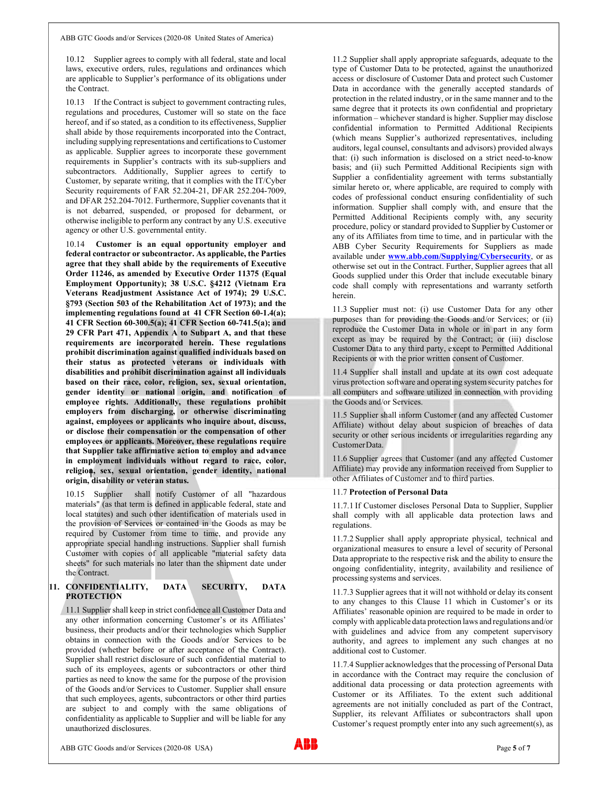10.12 Supplier agrees to comply with all federal, state and local laws, executive orders, rules, regulations and ordinances which are applicable to Supplier's performance of its obligations under the Contract.

10.13 If the Contract is subject to government contracting rules, regulations and procedures, Customer will so state on the face hereof, and if so stated, as a condition to its effectiveness, Supplier shall abide by those requirements incorporated into the Contract, including supplying representations and certifications to Customer as applicable. Supplier agrees to incorporate these government requirements in Supplier's contracts with its sub-suppliers and subcontractors. Additionally, Supplier agrees to certify to Customer, by separate writing, that it complies with the IT/Cyber Security requirements of FAR 52.204-21, DFAR 252.204-7009, and DFAR 252.204-7012. Furthermore, Supplier covenants that it is not debarred, suspended, or proposed for debarment, or otherwise ineligible to perform any contract by any U.S. executive agency or other U.S. governmental entity.

10.14 Customer is an equal opportunity employer and federal contractor or subcontractor. As applicable, the Parties agree that they shall abide by the requirements of Executive Order 11246, as amended by Executive Order 11375 (Equal Employment Opportunity); 38 U.S.C. §4212 (Vietnam Era Veterans Readjustment Assistance Act of 1974); 29 U.S.C. §793 (Section 503 of the Rehabilitation Act of 1973); and the implementing regulations found at 41 CFR Section 60-1.4(a); 41 CFR Section 60-300.5(a); 41 CFR Section 60-741.5(a); and 29 CFR Part 471, Appendix A to Subpart A, and that these requirements are incorporated herein. These regulations prohibit discrimination against qualified individuals based on their status as protected veterans or individuals with disabilities and prohibit discrimination against all individuals based on their race, color, religion, sex, sexual orientation, gender identity or national origin, and notification of employee rights. Additionally, these regulations prohibit employers from discharging, or otherwise discriminating against, employees or applicants who inquire about, discuss, or disclose their compensation or the compensation of other employees or applicants. Moreover, these regulations require that Supplier take affirmative action to employ and advance in employment individuals without regard to race, color, religion, sex, sexual orientation, gender identity, national origin, disability or veteran status.

10.15 Supplier shall notify Customer of all "hazardous materials" (as that term is defined in applicable federal, state and local statutes) and such other identification of materials used in the provision of Services or contained in the Goods as may be required by Customer from time to time, and provide any appropriate special handling instructions. Supplier shall furnish Customer with copies of all applicable "material safety data sheets" for such materials no later than the shipment date under the Contract.

### 11. CONFIDENTIALITY, DATA SECURITY, DATA PROTECTION

11.1 Supplier shall keep in strict confidence all Customer Data and any other information concerning Customer's or its Affiliates' business, their products and/or their technologies which Supplier obtains in connection with the Goods and/or Services to be provided (whether before or after acceptance of the Contract). Supplier shall restrict disclosure of such confidential material to such of its employees, agents or subcontractors or other third parties as need to know the same for the purpose of the provision of the Goods and/or Services to Customer. Supplier shall ensure that such employees, agents, subcontractors or other third parties are subject to and comply with the same obligations of confidentiality as applicable to Supplier and will be liable for any unauthorized disclosures.

11.2 Supplier shall apply appropriate safeguards, adequate to the type of Customer Data to be protected, against the unauthorized access or disclosure of Customer Data and protect such Customer Data in accordance with the generally accepted standards of protection in the related industry, or in the same manner and to the same degree that it protects its own confidential and proprietary information – whichever standard is higher. Supplier may disclose confidential information to Permitted Additional Recipients (which means Supplier's authorized representatives, including auditors, legal counsel, consultants and advisors) provided always that: (i) such information is disclosed on a strict need-to-know basis; and (ii) such Permitted Additional Recipients sign with Supplier a confidentiality agreement with terms substantially similar hereto or, where applicable, are required to comply with codes of professional conduct ensuring confidentiality of such information. Supplier shall comply with, and ensure that the Permitted Additional Recipients comply with, any security procedure, policy or standard provided to Supplier by Customer or any of its Affiliates from time to time, and in particular with the ABB Cyber Security Requirements for Suppliers as made available under **www.abb.com/Supplying/Cybersecurity**, or as otherwise set out in the Contract. Further, Supplier agrees that all Goods supplied under this Order that include executable binary code shall comply with representations and warranty setforth herein.

11.3 Supplier must not: (i) use Customer Data for any other purposes than for providing the Goods and/or Services; or (ii) reproduce the Customer Data in whole or in part in any form except as may be required by the Contract; or (iii) disclose Customer Data to any third party, except to Permitted Additional Recipients or with the prior written consent of Customer.

11.4 Supplier shall install and update at its own cost adequate virus protection software and operating system security patches for all computers and software utilized in connection with providing the Goods and/or Services.

11.5 Supplier shall inform Customer (and any affected Customer Affiliate) without delay about suspicion of breaches of data security or other serious incidents or irregularities regarding any Customer Data.

11.6 Supplier agrees that Customer (and any affected Customer Affiliate) may provide any information received from Supplier to other Affiliates of Customer and to third parties.

#### 11.7 Protection of Personal Data

11.7.1 If Customer discloses Personal Data to Supplier, Supplier shall comply with all applicable data protection laws and regulations.

11.7.2 Supplier shall apply appropriate physical, technical and organizational measures to ensure a level of security of Personal Data appropriate to the respective risk and the ability to ensure the ongoing confidentiality, integrity, availability and resilience of processing systems and services.

11.7.3 Supplier agrees that it will not withhold or delay its consent to any changes to this Clause 11 which in Customer's or its Affiliates' reasonable opinion are required to be made in order to comply with applicable data protection laws and regulations and/or with guidelines and advice from any competent supervisory authority, and agrees to implement any such changes at no additional cost to Customer.

11.7.4 Supplier acknowledges that the processing of Personal Data in accordance with the Contract may require the conclusion of additional data processing or data protection agreements with Customer or its Affiliates. To the extent such additional agreements are not initially concluded as part of the Contract, Supplier, its relevant Affiliates or subcontractors shall upon Customer's request promptly enter into any such agreement(s), as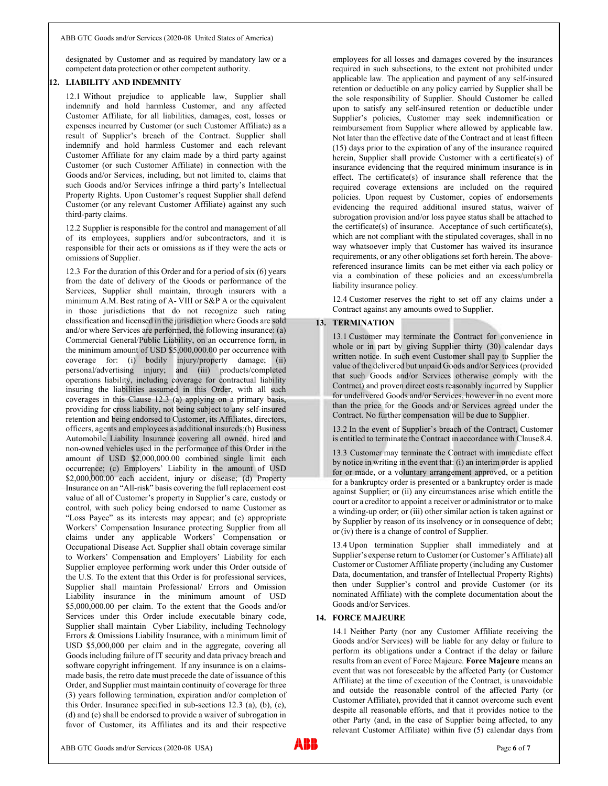designated by Customer and as required by mandatory law or a competent data protection or other competent authority.

## 12. LIABILITY AND INDEMNITY

12.1 Without prejudice to applicable law, Supplier shall indemnify and hold harmless Customer, and any affected Customer Affiliate, for all liabilities, damages, cost, losses or expenses incurred by Customer (or such Customer Affiliate) as a result of Supplier's breach of the Contract. Supplier shall indemnify and hold harmless Customer and each relevant Customer Affiliate for any claim made by a third party against Customer (or such Customer Affiliate) in connection with the Goods and/or Services, including, but not limited to, claims that such Goods and/or Services infringe a third party's Intellectual Property Rights. Upon Customer's request Supplier shall defend Customer (or any relevant Customer Affiliate) against any such third-party claims.

12.2 Supplier is responsible for the control and management of all of its employees, suppliers and/or subcontractors, and it is responsible for their acts or omissions as if they were the acts or omissions of Supplier.

12.3 For the duration of this Order and for a period of six (6) years from the date of delivery of the Goods or performance of the Services, Supplier shall maintain, through insurers with a minimum A.M. Best rating of A- VIII or S&P A or the equivalent in those jurisdictions that do not recognize such rating classification and licensed in the jurisdiction where Goods are sold and/or where Services are performed, the following insurance: (a) Commercial General/Public Liability, on an occurrence form, in the minimum amount of USD \$5,000,000.00 per occurrence with coverage for: (i) bodily injury/property damage; (ii) personal/advertising injury; and (iii) products/completed operations liability, including coverage for contractual liability insuring the liabilities assumed in this Order, with all such coverages in this Clause 12.3 (a) applying on a primary basis, providing for cross liability, not being subject to any self-insured retention and being endorsed to Customer, its Affiliates, directors, officers, agents and employees as additional insureds;(b) Business Automobile Liability Insurance covering all owned, hired and non-owned vehicles used in the performance of this Order in the amount of USD \$2,000,000.00 combined single limit each occurrence; (c) Employers' Liability in the amount of USD \$2,000,000.00 each accident, injury or disease; (d) Property Insurance on an "All-risk" basis covering the full replacement cost value of all of Customer's property in Supplier's care, custody or control, with such policy being endorsed to name Customer as "Loss Payee" as its interests may appear; and (e) appropriate Workers' Compensation Insurance protecting Supplier from all claims under any applicable Workers' Compensation or Occupational Disease Act. Supplier shall obtain coverage similar to Workers' Compensation and Employers' Liability for each Supplier employee performing work under this Order outside of the U.S. To the extent that this Order is for professional services, Supplier shall maintain Professional/ Errors and Omission Liability insurance in the minimum amount of USD \$5,000,000.00 per claim. To the extent that the Goods and/or Services under this Order include executable binary code, Supplier shall maintain Cyber Liability, including Technology Errors & Omissions Liability Insurance, with a minimum limit of USD \$5,000,000 per claim and in the aggregate, covering all Goods including failure of IT security and data privacy breach and<br>continuous contract in the delay or latture and<br>continuous contract in the delay or latture of Force Majeure. Force Majeure means an software copyright infringement. If any insurance is on a claimsmade basis, the retro date must precede the date of issuance of this Order, and Supplier must maintain continuity of coverage for three (3) years following termination, expiration and/or completion of this Order. Insurance specified in sub-sections 12.3 (a), (b), (c), (d) and (e) shall be endorsed to provide a waiver of subrogation in favor of Customer, its Affiliates and its and their respective

employees for all losses and damages covered by the insurances required in such subsections, to the extent not prohibited under applicable law. The application and payment of any self-insured retention or deductible on any policy carried by Supplier shall be the sole responsibility of Supplier. Should Customer be called upon to satisfy any self-insured retention or deductible under Supplier's policies, Customer may seek indemnification or reimbursement from Supplier where allowed by applicable law. Not later than the effective date of the Contract and at least fifteen (15) days prior to the expiration of any of the insurance required herein, Supplier shall provide Customer with a certificate(s) of insurance evidencing that the required minimum insurance is in effect. The certificate(s) of insurance shall reference that the required coverage extensions are included on the required policies. Upon request by Customer, copies of endorsements evidencing the required additional insured status, waiver of subrogation provision and/or loss payee status shall be attached to the certificate(s) of insurance. Acceptance of such certificate(s), which are not compliant with the stipulated coverages, shall in no way whatsoever imply that Customer has waived its insurance requirements, or any other obligations set forth herein. The abovereferenced insurance limits can be met either via each policy or via a combination of these policies and an excess/umbrella liability insurance policy.

12.4 Customer reserves the right to set off any claims under a Contract against any amounts owed to Supplier.

## 13. TERMINATION

13.1 Customer may terminate the Contract for convenience in whole or in part by giving Supplier thirty (30) calendar days written notice. In such event Customer shall pay to Supplier the value of the delivered but unpaid Goods and/or Services (provided that such Goods and/or Services otherwise comply with the Contract) and proven direct costs reasonably incurred by Supplier for undelivered Goods and/or Services, however in no event more than the price for the Goods and/or Services agreed under the Contract. No further compensation will be due to Supplier.

13.2 In the event of Supplier's breach of the Contract, Customer is entitled to terminate the Contract in accordance with Clause 8.4.

13.3 Customer may terminate the Contract with immediate effect by notice in writing in the event that: (i) an interim order is applied for or made, or a voluntary arrangement approved, or a petition for a bankruptcy order is presented or a bankruptcy order is made against Supplier; or (ii) any circumstances arise which entitle the court or a creditor to appoint a receiver or administrator or to make a winding-up order; or (iii) other similar action is taken against or by Supplier by reason of its insolvency or in consequence of debt; or (iv) there is a change of control of Supplier.

13.4 Upon termination Supplier shall immediately and at Supplier's expense return to Customer (or Customer's Affiliate) all Customer or Customer Affiliate property (including any Customer Data, documentation, and transfer of Intellectual Property Rights) then under Supplier's control and provide Customer (or its nominated Affiliate) with the complete documentation about the Goods and/or Services.

#### 14. FORCE MAJEURE

14.1 Neither Party (nor any Customer Affiliate receiving the Goods and/or Services) will be liable for any delay or failure to perform its obligations under a Contract if the delay or failure event that was not foreseeable by the affected Party (or Customer Affiliate) at the time of execution of the Contract, is unavoidable and outside the reasonable control of the affected Party (or Customer Affiliate), provided that it cannot overcome such event despite all reasonable efforts, and that it provides notice to the other Party (and, in the case of Supplier being affected, to any relevant Customer Affiliate) within five (5) calendar days from